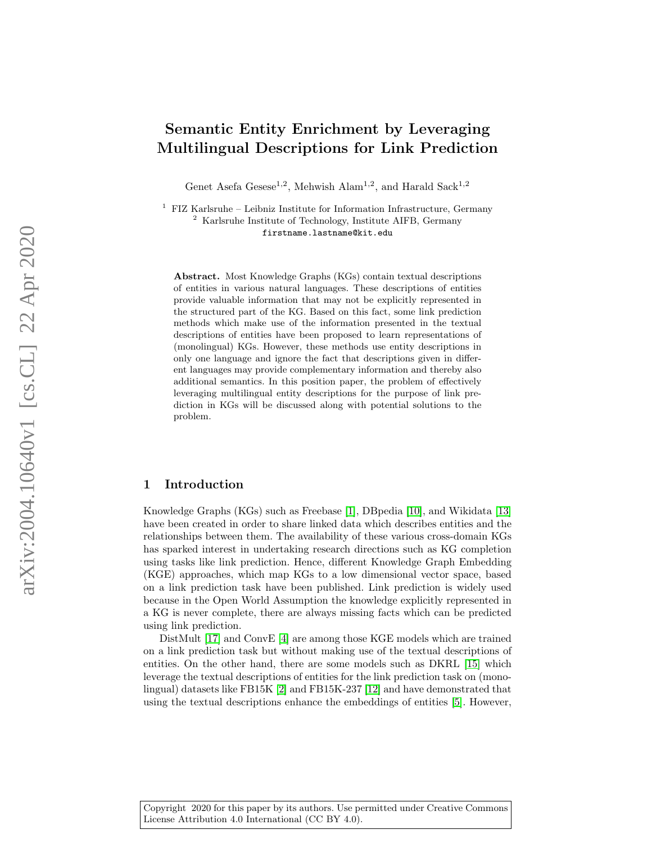# Semantic Entity Enrichment by Leveraging Multilingual Descriptions for Link Prediction

Genet Asefa Gesese<sup>1,2</sup>, Mehwish Alam<sup>1,2</sup>, and Harald Sack<sup>1,2</sup>

 $1$  FIZ Karlsruhe – Leibniz Institute for Information Infrastructure, Germany <sup>2</sup> Karlsruhe Institute of Technology, Institute AIFB, Germany firstname.lastname@kit.edu

Abstract. Most Knowledge Graphs (KGs) contain textual descriptions of entities in various natural languages. These descriptions of entities provide valuable information that may not be explicitly represented in the structured part of the KG. Based on this fact, some link prediction methods which make use of the information presented in the textual descriptions of entities have been proposed to learn representations of (monolingual) KGs. However, these methods use entity descriptions in only one language and ignore the fact that descriptions given in different languages may provide complementary information and thereby also additional semantics. In this position paper, the problem of effectively leveraging multilingual entity descriptions for the purpose of link prediction in KGs will be discussed along with potential solutions to the problem.

## <span id="page-0-0"></span>1 Introduction

Knowledge Graphs (KGs) such as Freebase [\[1\]](#page-5-0), DBpedia [\[10\]](#page-5-1), and Wikidata [\[13\]](#page-5-2) have been created in order to share linked data which describes entities and the relationships between them. The availability of these various cross-domain KGs has sparked interest in undertaking research directions such as KG completion using tasks like link prediction. Hence, different Knowledge Graph Embedding (KGE) approaches, which map KGs to a low dimensional vector space, based on a link prediction task have been published. Link prediction is widely used because in the Open World Assumption the knowledge explicitly represented in a KG is never complete, there are always missing facts which can be predicted using link prediction.

DistMult [\[17\]](#page-6-0) and ConvE [\[4\]](#page-5-3) are among those KGE models which are trained on a link prediction task but without making use of the textual descriptions of entities. On the other hand, there are some models such as DKRL [\[15\]](#page-5-4) which leverage the textual descriptions of entities for the link prediction task on (monolingual) datasets like FB15K [\[2\]](#page-5-5) and FB15K-237 [\[12\]](#page-5-6) and have demonstrated that using the textual descriptions enhance the embeddings of entities [\[5\]](#page-5-7). However,

Copyright 2020 for this paper by its authors. Use permitted under Creative Commons License Attribution 4.0 International (CC BY 4.0).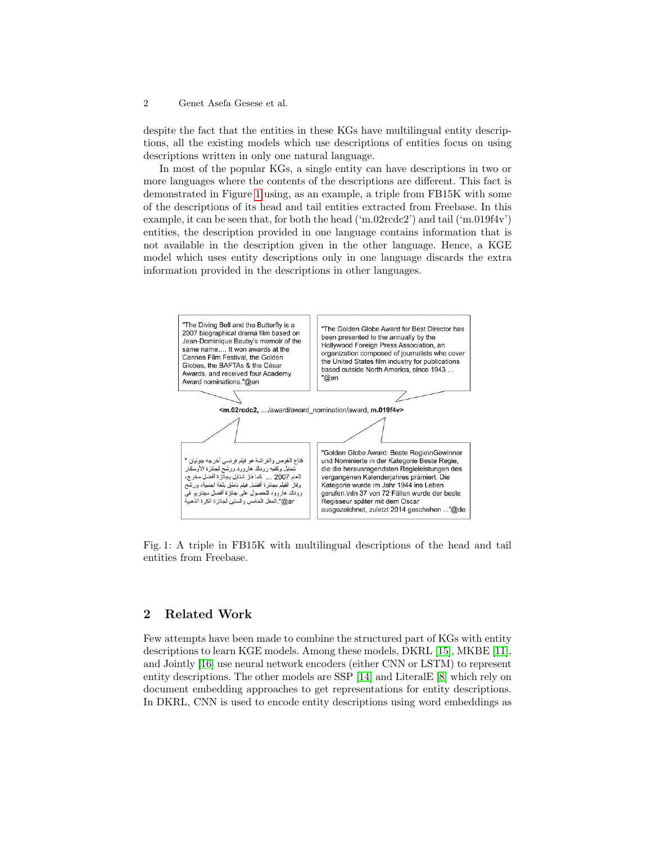#### 2 Genet Asefa Gesese et al.

despite the fact that the entities in these KGs have multilingual entity descriptions, all the existing models which use descriptions of entities focus on using descriptions written in only one natural language.

In most of the popular KGs, a single entity can have descriptions in two or more languages where the contents of the descriptions are different. This fact is demonstrated in Figure [1](#page-1-0) using, as an example, a triple from FB15K with some of the descriptions of its head and tail entities extracted from Freebase. In this example, it can be seen that, for both the head ('m.02rcdc2') and tail ('m.019f4v') entities, the description provided in one language contains information that is not available in the description given in the other language. Hence, a KGE model which uses entity descriptions only in one language discards the extra information provided in the descriptions in other languages.

<span id="page-1-0"></span>

Fig. 1: A triple in FB15K with multilingual descriptions of the head and tail entities from Freebase.

## <span id="page-1-1"></span>2 Related Work

Few attempts have been made to combine the structured part of KGs with entity descriptions to learn KGE models. Among these models, DKRL [\[15\]](#page-5-4), MKBE [\[11\]](#page-5-8), and Jointly [\[16\]](#page-5-9) use neural network encoders (either CNN or LSTM) to represent entity descriptions. The other models are SSP [\[14\]](#page-5-10) and LiteralE [\[8\]](#page-5-11) which rely on document embedding approaches to get representations for entity descriptions. In DKRL, CNN is used to encode entity descriptions using word embeddings as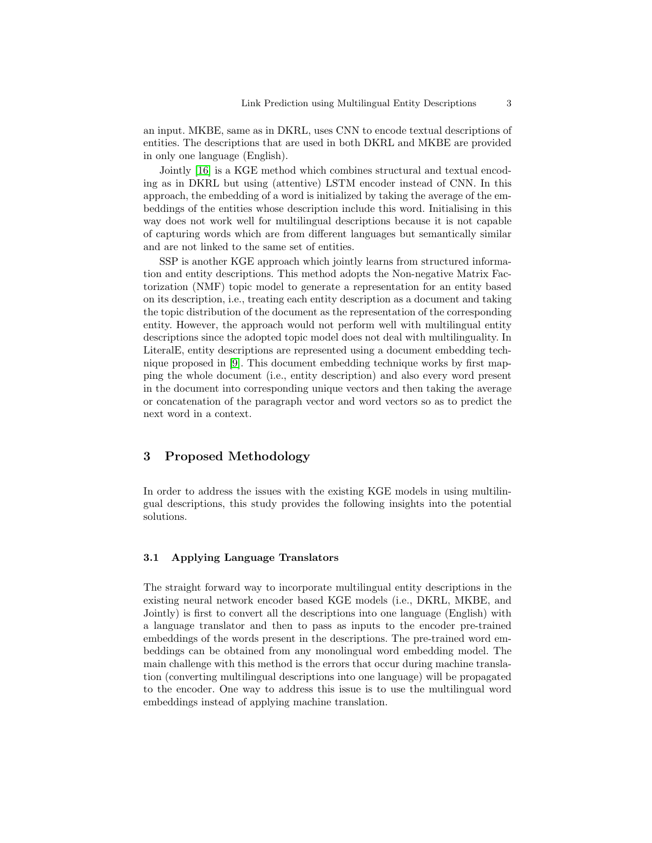an input. MKBE, same as in DKRL, uses CNN to encode textual descriptions of entities. The descriptions that are used in both DKRL and MKBE are provided in only one language (English).

Jointly [\[16\]](#page-5-9) is a KGE method which combines structural and textual encoding as in DKRL but using (attentive) LSTM encoder instead of CNN. In this approach, the embedding of a word is initialized by taking the average of the embeddings of the entities whose description include this word. Initialising in this way does not work well for multilingual descriptions because it is not capable of capturing words which are from different languages but semantically similar and are not linked to the same set of entities.

SSP is another KGE approach which jointly learns from structured information and entity descriptions. This method adopts the Non-negative Matrix Factorization (NMF) topic model to generate a representation for an entity based on its description, i.e., treating each entity description as a document and taking the topic distribution of the document as the representation of the corresponding entity. However, the approach would not perform well with multilingual entity descriptions since the adopted topic model does not deal with multilinguality. In LiteralE, entity descriptions are represented using a document embedding technique proposed in [\[9\]](#page-5-12). This document embedding technique works by first mapping the whole document (i.e., entity description) and also every word present in the document into corresponding unique vectors and then taking the average or concatenation of the paragraph vector and word vectors so as to predict the next word in a context.

## 3 Proposed Methodology

In order to address the issues with the existing KGE models in using multilingual descriptions, this study provides the following insights into the potential solutions.

#### 3.1 Applying Language Translators

The straight forward way to incorporate multilingual entity descriptions in the existing neural network encoder based KGE models (i.e., DKRL, MKBE, and Jointly) is first to convert all the descriptions into one language (English) with a language translator and then to pass as inputs to the encoder pre-trained embeddings of the words present in the descriptions. The pre-trained word embeddings can be obtained from any monolingual word embedding model. The main challenge with this method is the errors that occur during machine translation (converting multilingual descriptions into one language) will be propagated to the encoder. One way to address this issue is to use the multilingual word embeddings instead of applying machine translation.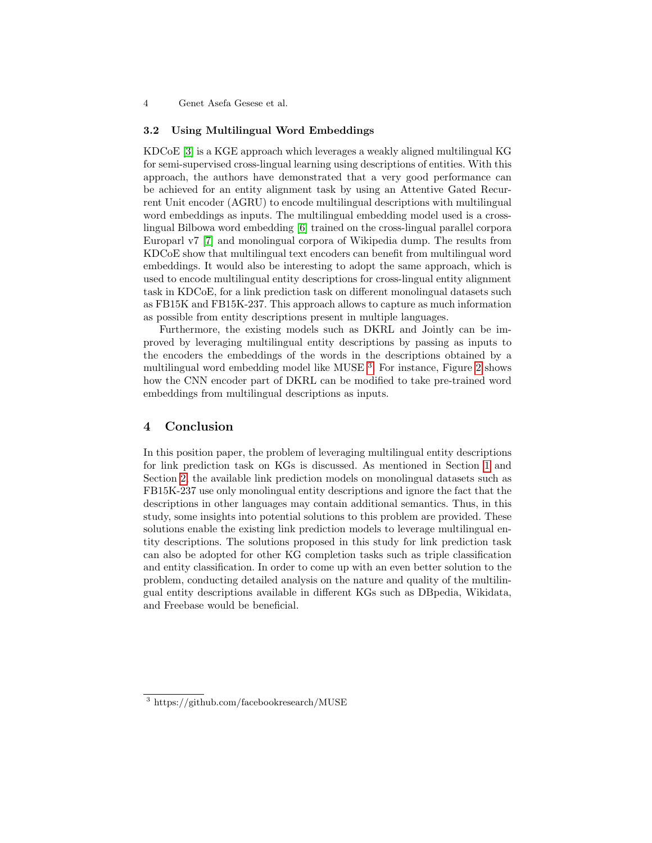4 Genet Asefa Gesese et al.

#### 3.2 Using Multilingual Word Embeddings

KDCoE [\[3\]](#page-5-13) is a KGE approach which leverages a weakly aligned multilingual KG for semi-supervised cross-lingual learning using descriptions of entities. With this approach, the authors have demonstrated that a very good performance can be achieved for an entity alignment task by using an Attentive Gated Recurrent Unit encoder (AGRU) to encode multilingual descriptions with multilingual word embeddings as inputs. The multilingual embedding model used is a crosslingual Bilbowa word embedding [\[6\]](#page-5-14) trained on the cross-lingual parallel corpora Europarl v7 [\[7\]](#page-5-15) and monolingual corpora of Wikipedia dump. The results from KDCoE show that multilingual text encoders can benefit from multilingual word embeddings. It would also be interesting to adopt the same approach, which is used to encode multilingual entity descriptions for cross-lingual entity alignment task in KDCoE, for a link prediction task on different monolingual datasets such as FB15K and FB15K-237. This approach allows to capture as much information as possible from entity descriptions present in multiple languages.

Furthermore, the existing models such as DKRL and Jointly can be improved by leveraging multilingual entity descriptions by passing as inputs to the encoders the embeddings of the words in the descriptions obtained by a multilingual word embedding model like MUSE<sup>[3](#page-3-0)</sup>. For instance, Figure [2](#page-4-0) shows how the CNN encoder part of DKRL can be modified to take pre-trained word embeddings from multilingual descriptions as inputs.

#### 4 Conclusion

In this position paper, the problem of leveraging multilingual entity descriptions for link prediction task on KGs is discussed. As mentioned in Section [1](#page-0-0) and Section [2,](#page-1-1) the available link prediction models on monolingual datasets such as FB15K-237 use only monolingual entity descriptions and ignore the fact that the descriptions in other languages may contain additional semantics. Thus, in this study, some insights into potential solutions to this problem are provided. These solutions enable the existing link prediction models to leverage multilingual entity descriptions. The solutions proposed in this study for link prediction task can also be adopted for other KG completion tasks such as triple classification and entity classification. In order to come up with an even better solution to the problem, conducting detailed analysis on the nature and quality of the multilingual entity descriptions available in different KGs such as DBpedia, Wikidata, and Freebase would be beneficial.

<span id="page-3-0"></span><sup>3</sup> https://github.com/facebookresearch/MUSE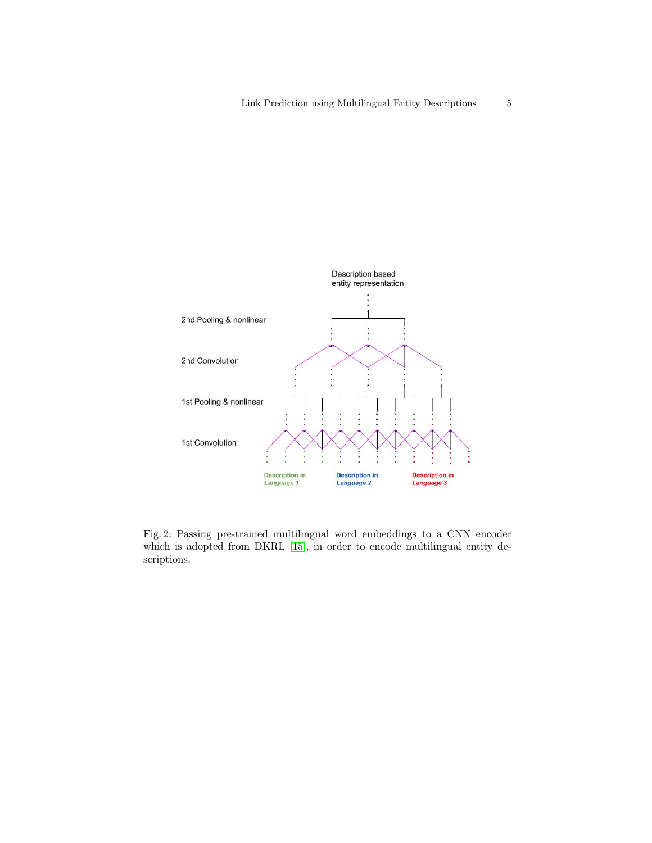<span id="page-4-0"></span>

Fig. 2: Passing pre-trained multilingual word embeddings to a CNN encoder which is adopted from DKRL [\[15\]](#page-5-4), in order to encode multilingual entity descriptions.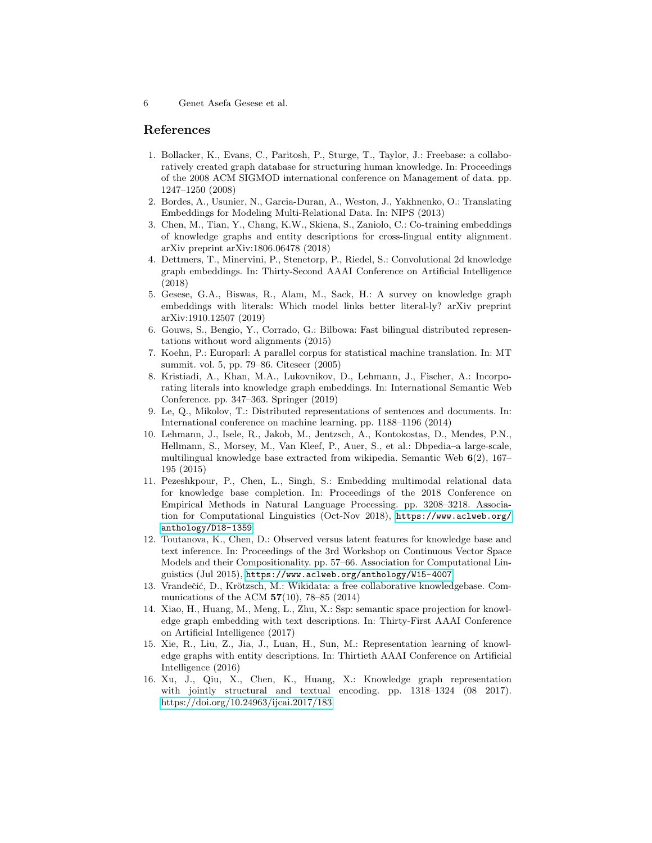### References

- <span id="page-5-0"></span>1. Bollacker, K., Evans, C., Paritosh, P., Sturge, T., Taylor, J.: Freebase: a collaboratively created graph database for structuring human knowledge. In: Proceedings of the 2008 ACM SIGMOD international conference on Management of data. pp. 1247–1250 (2008)
- <span id="page-5-5"></span>2. Bordes, A., Usunier, N., Garcia-Duran, A., Weston, J., Yakhnenko, O.: Translating Embeddings for Modeling Multi-Relational Data. In: NIPS (2013)
- <span id="page-5-13"></span>3. Chen, M., Tian, Y., Chang, K.W., Skiena, S., Zaniolo, C.: Co-training embeddings of knowledge graphs and entity descriptions for cross-lingual entity alignment. arXiv preprint arXiv:1806.06478 (2018)
- <span id="page-5-3"></span>4. Dettmers, T., Minervini, P., Stenetorp, P., Riedel, S.: Convolutional 2d knowledge graph embeddings. In: Thirty-Second AAAI Conference on Artificial Intelligence (2018)
- <span id="page-5-7"></span>5. Gesese, G.A., Biswas, R., Alam, M., Sack, H.: A survey on knowledge graph embeddings with literals: Which model links better literal-ly? arXiv preprint arXiv:1910.12507 (2019)
- <span id="page-5-14"></span>6. Gouws, S., Bengio, Y., Corrado, G.: Bilbowa: Fast bilingual distributed representations without word alignments (2015)
- <span id="page-5-15"></span>7. Koehn, P.: Europarl: A parallel corpus for statistical machine translation. In: MT summit. vol. 5, pp. 79–86. Citeseer (2005)
- <span id="page-5-11"></span>8. Kristiadi, A., Khan, M.A., Lukovnikov, D., Lehmann, J., Fischer, A.: Incorporating literals into knowledge graph embeddings. In: International Semantic Web Conference. pp. 347–363. Springer (2019)
- <span id="page-5-12"></span>9. Le, Q., Mikolov, T.: Distributed representations of sentences and documents. In: International conference on machine learning. pp. 1188–1196 (2014)
- <span id="page-5-1"></span>10. Lehmann, J., Isele, R., Jakob, M., Jentzsch, A., Kontokostas, D., Mendes, P.N., Hellmann, S., Morsey, M., Van Kleef, P., Auer, S., et al.: Dbpedia–a large-scale, multilingual knowledge base extracted from wikipedia. Semantic Web 6(2), 167– 195 (2015)
- <span id="page-5-8"></span>11. Pezeshkpour, P., Chen, L., Singh, S.: Embedding multimodal relational data for knowledge base completion. In: Proceedings of the 2018 Conference on Empirical Methods in Natural Language Processing. pp. 3208–3218. Association for Computational Linguistics (Oct-Nov 2018), [https://www.aclweb.org/](https://www.aclweb.org/anthology/D18-1359) [anthology/D18-1359](https://www.aclweb.org/anthology/D18-1359)
- <span id="page-5-6"></span>12. Toutanova, K., Chen, D.: Observed versus latent features for knowledge base and text inference. In: Proceedings of the 3rd Workshop on Continuous Vector Space Models and their Compositionality. pp. 57–66. Association for Computational Linguistics (Jul 2015), <https://www.aclweb.org/anthology/W15-4007>
- <span id="page-5-2"></span>13. Vrandečić, D., Krötzsch, M.: Wikidata: a free collaborative knowledgebase. Communications of the ACM  $57(10)$ , 78–85 (2014)
- <span id="page-5-10"></span>14. Xiao, H., Huang, M., Meng, L., Zhu, X.: Ssp: semantic space projection for knowledge graph embedding with text descriptions. In: Thirty-First AAAI Conference on Artificial Intelligence (2017)
- <span id="page-5-4"></span>15. Xie, R., Liu, Z., Jia, J., Luan, H., Sun, M.: Representation learning of knowledge graphs with entity descriptions. In: Thirtieth AAAI Conference on Artificial Intelligence (2016)
- <span id="page-5-9"></span>16. Xu, J., Qiu, X., Chen, K., Huang, X.: Knowledge graph representation with jointly structural and textual encoding. pp. 1318–1324 (08 2017). <https://doi.org/10.24963/ijcai.2017/183>

<sup>6</sup> Genet Asefa Gesese et al.